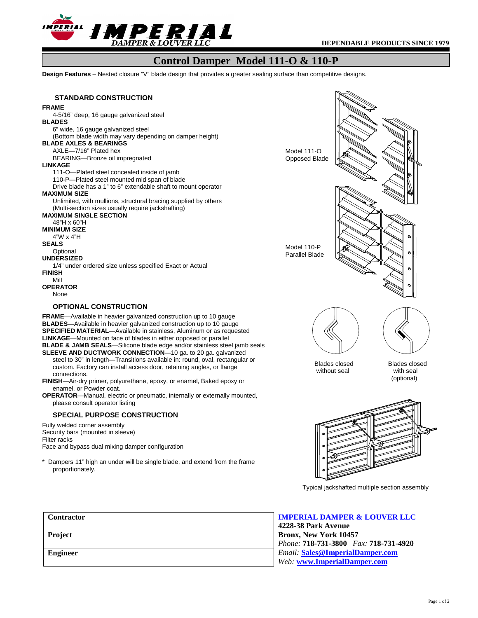

## **Control Damper Model 111-O & 110-P**

**Design Features** – Nested closure "V" blade design that provides a greater sealing surface than competitive designs.



## **IMPERIAL DAMPER & LOUVER LLC**

**4228-38 Park Avenue Bronx, New York 10457** *Phone:* **718-731-3800** *Fax:* **718-731-4920**  *Email:* **Sales@ImperialDamper.com** *Web:* **www.ImperialDamper.com**

**Contractor**